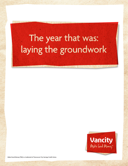# The year that was: laying the groundwork



**Make Good Money (TM) is a trademark of Vancouver City Savings Credit Union.**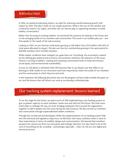

In 2016, we shared *Accelerating Impact*, our plan for achieving transformational growth with impact by 2020. The plan is built on two simple questions: What is the size of the member and community need in our region, and what role can Vancity play in supporting members to build healthy communities?

Rather than focusing on existing markets, we answered this question by looking to the future and to the emerging needs of our members and communities. The result is our boldest plan yet – one that speaks to the needs of the real economy.

Looking to 2020, we see Vancity's total assets growing to \$40 billion from \$25.6 billion with 50% of total assets allocated to impact. We also see Vancity's membership growing in the same period to 600,000 members from 523,000 members.

While market conditions have changed, our goals have not. If anything, the uncertainty created by the shifting geo-political and economic environments reinforces the relevance of the issues Vancity is striving to address: creating and sustaining communities built on financial inclusion, social equity, and environmental sustainability.

In June we will deliver a refreshed 2020-2017 Business Plan to our Board, one that reflects our learnings in 2016, builds on our innovation and most importantly, meets the needs of our members and the communities in which they live and work.

In the meantime, the following document sets out the progress we have made towards the goals we set, and the lessons that will inform our work as we develop a refreshed plan.

# Our banking system replacement: lessons learned

To set the stage for the future, we spent much of 2016 implementing a new banking system to give us greater capacity to meet members' needs now and well into the future. We took some initial steps to redesign the way we work, bringing employees from around the organization together to delve deeper into the issues facing the real economy. We also served our members and communities through unprecedented market conditions.

Through this we learned and developed. While the implementation of our banking system fully met the technical and regulatory objectives, we fell short with many members when it came to their expectations in terms of usability, design and communication. We learned that members' perspectives cannot just drive our innovation and strategic direction, but also need to be at the core of everything we do, including – and perhaps especially – when we roll out new digital and technical services.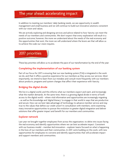# The year ahead: accelerating impact

In addition to meeting our members' daily banking needs, we see opportunity in wealth management and small business and we will continue to build out innovative solutions consistent with our vision and values.

We are actively exploring and designing services and advice related to how Vancity can meet the needs of our members and communities. We don't expect that every exploration will result in a positive outcome; however, the more we understand about the needs of the real economy and the opportunities that exist, the more we will understand where the levers are that will allow us to achieve the scale our vision requires.

### 2017 priorities

These key priorities will allow us to accelerate the pace of our transformation by the end of the year:

#### **Completing the implementation of our banking system**

Part of our focus for 2017 is ensuring that our new banking system (T24) is integrated in the work we do, and that it offers a positive experience for our members as they access our services. Most importantly, we intend to learn from our mistakes and consult more frequently with our members about products, programs and system changes that affect their experience with Vancity.

#### **Bridging the digital divide**

We live in a digital world, and this informs what our members expect and want, and increasingly what the market demands. At the same time, there is a growing digital divide in terms of both access to the digital world – where vital information and opportunities are increasingly migrating – as well as the knowledge and 'digital literacy' to engage in that world in ways that are productive and secure. How can we best take advantage of technology to advance member service and stay true to the values that define our credit union? In consultation with members, we're examining many innovative opportunities to pursue the evolution to greater digital integration and deliver solutions that offer greater impact and benefit for our members and communities.

#### **Explorer network**

Last year we brought together employees from across the organization, to delve into issues facing the real economy and identify opportunities where we can best accelerate impact. Consistent with our business model – member-led innovation – explorer teams focused on what is happening in the lives of our members and their communities. In 2017, we're building on this work, with new opportunities for employees to convene and identify opportunities that will accelerate impact and support members and communities.